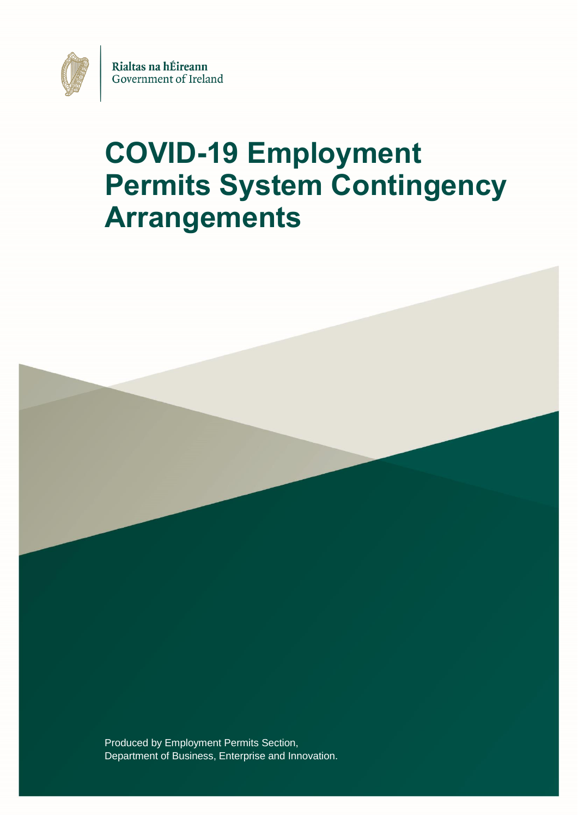

# **COVID-19 Employment Permits System Contingency Arrangements**

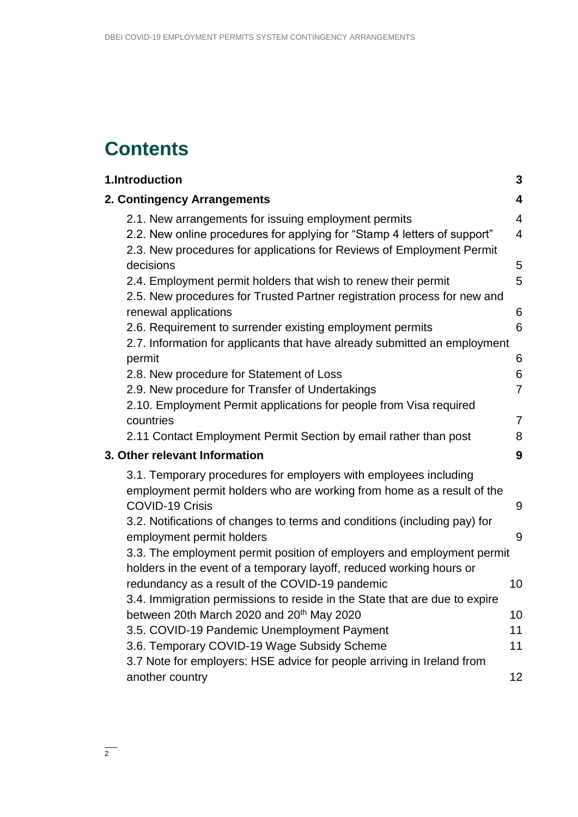## **Contents**

| 1.Introduction                                                                                                                                    | 3                       |
|---------------------------------------------------------------------------------------------------------------------------------------------------|-------------------------|
| 2. Contingency Arrangements                                                                                                                       | $\overline{\mathbf{4}}$ |
| 2.1. New arrangements for issuing employment permits                                                                                              | $\overline{4}$          |
| 2.2. New online procedures for applying for "Stamp 4 letters of support"<br>2.3. New procedures for applications for Reviews of Employment Permit | $\overline{4}$          |
| decisions                                                                                                                                         | 5                       |
| 2.4. Employment permit holders that wish to renew their permit                                                                                    | 5                       |
| 2.5. New procedures for Trusted Partner registration process for new and                                                                          |                         |
| renewal applications                                                                                                                              | 6                       |
| 2.6. Requirement to surrender existing employment permits                                                                                         | 6                       |
| 2.7. Information for applicants that have already submitted an employment                                                                         |                         |
| permit                                                                                                                                            | 6                       |
| 2.8. New procedure for Statement of Loss                                                                                                          | 6                       |
| 2.9. New procedure for Transfer of Undertakings                                                                                                   | $\overline{7}$          |
| 2.10. Employment Permit applications for people from Visa required                                                                                |                         |
| countries                                                                                                                                         | $\overline{7}$          |
| 2.11 Contact Employment Permit Section by email rather than post                                                                                  | 8                       |
| 3. Other relevant Information                                                                                                                     | 9                       |
| 3.1. Temporary procedures for employers with employees including                                                                                  |                         |
| employment permit holders who are working from home as a result of the                                                                            |                         |
| <b>COVID-19 Crisis</b>                                                                                                                            | 9                       |
| 3.2. Notifications of changes to terms and conditions (including pay) for                                                                         |                         |
| employment permit holders                                                                                                                         | 9                       |
| 3.3. The employment permit position of employers and employment permit                                                                            |                         |
| holders in the event of a temporary layoff, reduced working hours or                                                                              |                         |
| redundancy as a result of the COVID-19 pandemic                                                                                                   | 10                      |
| 3.4. Immigration permissions to reside in the State that are due to expire                                                                        |                         |
| between 20th March 2020 and 20 <sup>th</sup> May 2020                                                                                             | 10                      |
| 3.5. COVID-19 Pandemic Unemployment Payment                                                                                                       | 11                      |
| 3.6. Temporary COVID-19 Wage Subsidy Scheme                                                                                                       | 11                      |
| 3.7 Note for employers: HSE advice for people arriving in Ireland from                                                                            |                         |
| another country                                                                                                                                   | 12                      |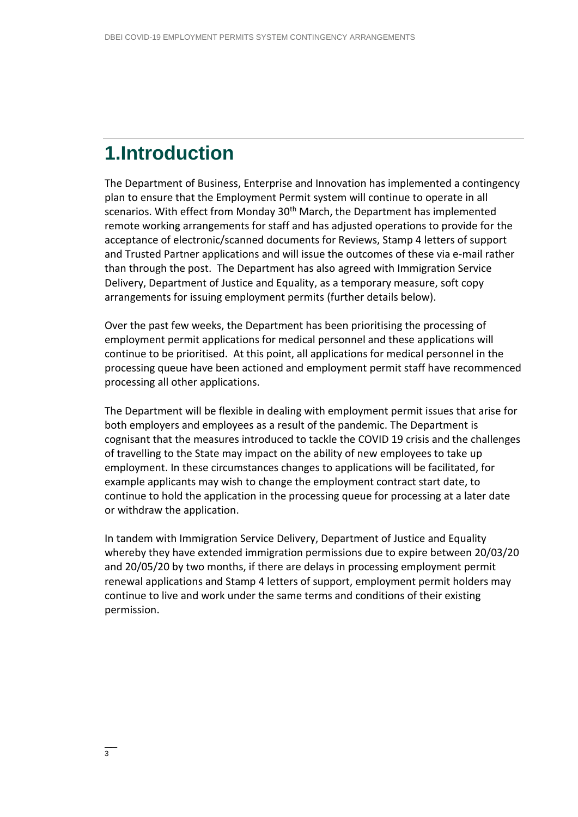## <span id="page-2-0"></span>**1.Introduction**

The Department of Business, Enterprise and Innovation has implemented a contingency plan to ensure that the Employment Permit system will continue to operate in all scenarios. With effect from Monday 30<sup>th</sup> March, the Department has implemented remote working arrangements for staff and has adjusted operations to provide for the acceptance of electronic/scanned documents for Reviews, Stamp 4 letters of support and Trusted Partner applications and will issue the outcomes of these via e-mail rather than through the post. The Department has also agreed with Immigration Service Delivery, Department of Justice and Equality, as a temporary measure, soft copy arrangements for issuing employment permits (further details below).

Over the past few weeks, the Department has been prioritising the processing of employment permit applications for medical personnel and these applications will continue to be prioritised. At this point, all applications for medical personnel in the processing queue have been actioned and employment permit staff have recommenced processing all other applications.

The Department will be flexible in dealing with employment permit issues that arise for both employers and employees as a result of the pandemic. The Department is cognisant that the measures introduced to tackle the COVID 19 crisis and the challenges of travelling to the State may impact on the ability of new employees to take up employment. In these circumstances changes to applications will be facilitated, for example applicants may wish to change the employment contract start date, to continue to hold the application in the processing queue for processing at a later date or withdraw the application.

In tandem with Immigration Service Delivery, Department of Justice and Equality whereby they have extended immigration permissions due to expire between 20/03/20 and 20/05/20 by two months, if there are delays in processing employment permit renewal applications and Stamp 4 letters of support, employment permit holders may continue to live and work under the same terms and conditions of their existing permission.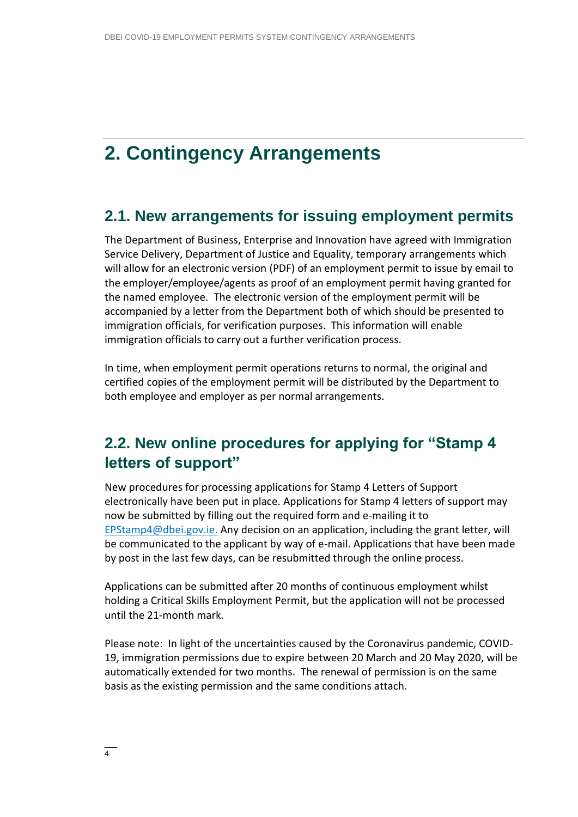## <span id="page-3-0"></span>**2. Contingency Arrangements**

#### <span id="page-3-1"></span>**2.1. New arrangements for issuing employment permits**

The Department of Business, Enterprise and Innovation have agreed with Immigration Service Delivery, Department of Justice and Equality, temporary arrangements which will allow for an electronic version (PDF) of an employment permit to issue by email to the employer/employee/agents as proof of an employment permit having granted for the named employee. The electronic version of the employment permit will be accompanied by a letter from the Department both of which should be presented to immigration officials, for verification purposes. This information will enable immigration officials to carry out a further verification process.

In time, when employment permit operations returns to normal, the original and certified copies of the employment permit will be distributed by the Department to both employee and employer as per normal arrangements.

#### <span id="page-3-2"></span>**2.2. New online procedures for applying for "Stamp 4 letters of support"**

New procedures for processing applications for Stamp 4 Letters of Support electronically have been put in place. Applications for Stamp 4 letters of support may now be submitted by filling out the required form and e-mailing it to [EPStamp4@dbei.gov.ie.](mailto:EPStamp4@dbei.gov.ie) Any decision on an application, including the grant letter, will be communicated to the applicant by way of e-mail. Applications that have been made by post in the last few days, can be resubmitted through the online process.

Applications can be submitted after 20 months of continuous employment whilst holding a Critical Skills Employment Permit, but the application will not be processed until the 21-month mark.

Please note: In light of the uncertainties caused by the Coronavirus pandemic, COVID-19, immigration permissions due to expire between 20 March and 20 May 2020, will be automatically extended for two months. The renewal of permission is on the same basis as the existing permission and the same conditions attach.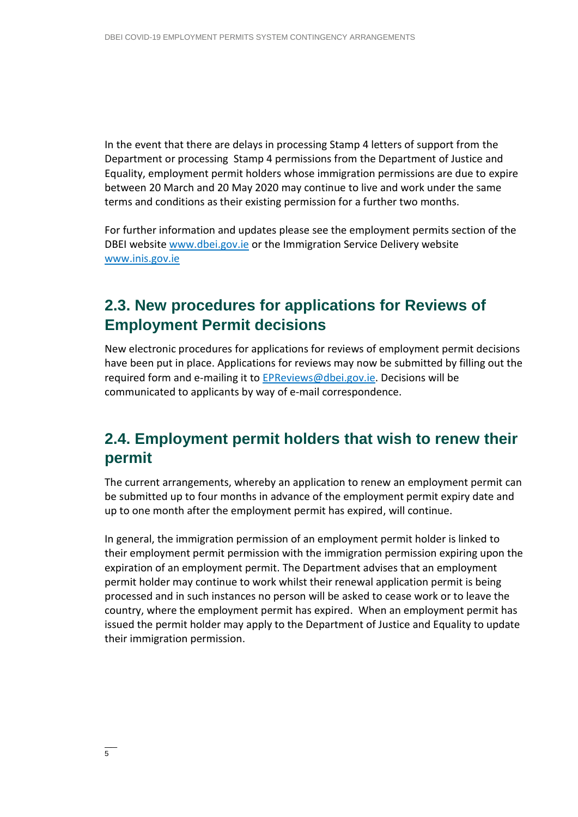In the event that there are delays in processing Stamp 4 letters of support from the Department or processing Stamp 4 permissions from the Department of Justice and Equality, employment permit holders whose immigration permissions are due to expire between 20 March and 20 May 2020 may continue to live and work under the same terms and conditions as their existing permission for a further two months.

For further information and updates please see the employment permits section of the DBEI website [www.dbei.gov.ie](http://www.dbei.gov.ie/) or the Immigration Service Delivery website [www.inis.gov.ie](http://www.inis.gov.ie/)

### <span id="page-4-0"></span>**2.3. New procedures for applications for Reviews of Employment Permit decisions**

New electronic procedures for applications for reviews of employment permit decisions have been put in place. Applications for reviews may now be submitted by filling out the required form and e-mailing it to [EPReviews@dbei.gov.ie.](mailto:EPReviews@dbei.gov.ie) Decisions will be communicated to applicants by way of e-mail correspondence.

#### <span id="page-4-1"></span>**2.4. Employment permit holders that wish to renew their permit**

The current arrangements, whereby an application to renew an employment permit can be submitted up to four months in advance of the employment permit expiry date and up to one month after the employment permit has expired, will continue.

In general, the immigration permission of an employment permit holder is linked to their employment permit permission with the immigration permission expiring upon the expiration of an employment permit. The Department advises that an employment permit holder may continue to work whilst their renewal application permit is being processed and in such instances no person will be asked to cease work or to leave the country, where the employment permit has expired. When an employment permit has issued the permit holder may apply to the Department of Justice and Equality to update their immigration permission.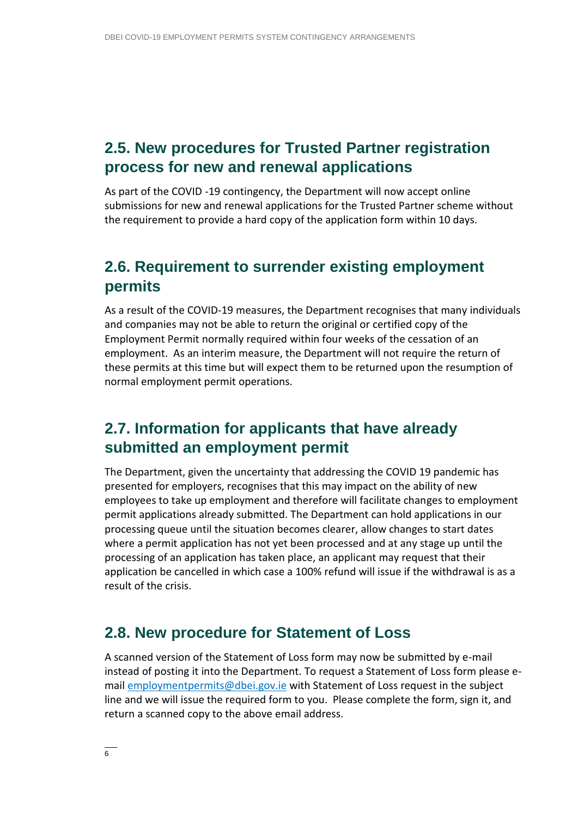#### <span id="page-5-0"></span>**2.5. New procedures for Trusted Partner registration process for new and renewal applications**

As part of the COVID -19 contingency, the Department will now accept online submissions for new and renewal applications for the Trusted Partner scheme without the requirement to provide a hard copy of the application form within 10 days.

#### <span id="page-5-1"></span>**2.6. Requirement to surrender existing employment permits**

As a result of the COVID-19 measures, the Department recognises that many individuals and companies may not be able to return the original or certified copy of the Employment Permit normally required within four weeks of the cessation of an employment. As an interim measure, the Department will not require the return of these permits at this time but will expect them to be returned upon the resumption of normal employment permit operations.

#### <span id="page-5-2"></span>**2.7. Information for applicants that have already submitted an employment permit**

The Department, given the uncertainty that addressing the COVID 19 pandemic has presented for employers, recognises that this may impact on the ability of new employees to take up employment and therefore will facilitate changes to employment permit applications already submitted. The Department can hold applications in our processing queue until the situation becomes clearer, allow changes to start dates where a permit application has not yet been processed and at any stage up until the processing of an application has taken place, an applicant may request that their application be cancelled in which case a 100% refund will issue if the withdrawal is as a result of the crisis.

#### <span id="page-5-3"></span>**2.8. New procedure for Statement of Loss**

A scanned version of the Statement of Loss form may now be submitted by e-mail instead of posting it into the Department. To request a Statement of Loss form please email [employmentpermits@dbei.gov.ie](mailto:employmentpermits@dbei.gov.ie) with Statement of Loss request in the subject line and we will issue the required form to you. Please complete the form, sign it, and return a scanned copy to the above email address.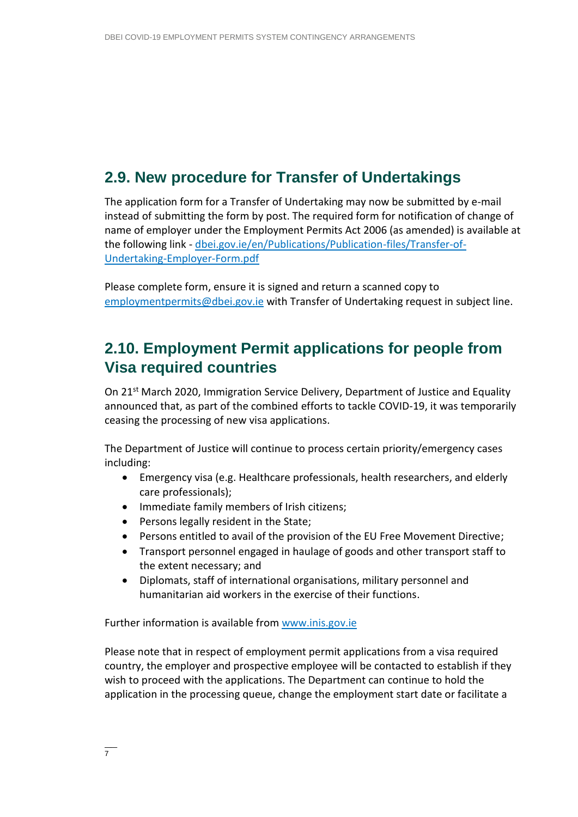#### <span id="page-6-0"></span>**2.9. New procedure for Transfer of Undertakings**

The application form for a Transfer of Undertaking may now be submitted by e-mail instead of submitting the form by post. The required form for notification of change of name of employer under the Employment Permits Act 2006 (as amended) is available at the following link - [dbei.gov.ie/en/Publications/Publication-files/Transfer-of-](https://dbei.gov.ie/en/Publications/Publication-files/Transfer-of-Undertaking-Employer-Form.pdf)[Undertaking-Employer-Form.pdf](https://dbei.gov.ie/en/Publications/Publication-files/Transfer-of-Undertaking-Employer-Form.pdf)

Please complete form, ensure it is signed and return a scanned copy to [employmentpermits@dbei.gov.ie](mailto:employmentpermits@dbei.gov.ie) with Transfer of Undertaking request in subject line.

#### <span id="page-6-1"></span>**2.10. Employment Permit applications for people from Visa required countries**

On 21<sup>st</sup> March 2020, Immigration Service Delivery, Department of Justice and Equality announced that, as part of the combined efforts to tackle COVID-19, it was temporarily ceasing the processing of new visa applications.

The Department of Justice will continue to process certain priority/emergency cases including:

- Emergency visa (e.g. Healthcare professionals, health researchers, and elderly care professionals);
- Immediate family members of Irish citizens;
- Persons legally resident in the State;
- Persons entitled to avail of the provision of the EU Free Movement Directive;
- Transport personnel engaged in haulage of goods and other transport staff to the extent necessary; and
- Diplomats, staff of international organisations, military personnel and humanitarian aid workers in the exercise of their functions.

Further information is available from [www.inis.gov.ie](http://www.inis.gov.ie/)

Please note that in respect of employment permit applications from a visa required country, the employer and prospective employee will be contacted to establish if they wish to proceed with the applications. The Department can continue to hold the application in the processing queue, change the employment start date or facilitate a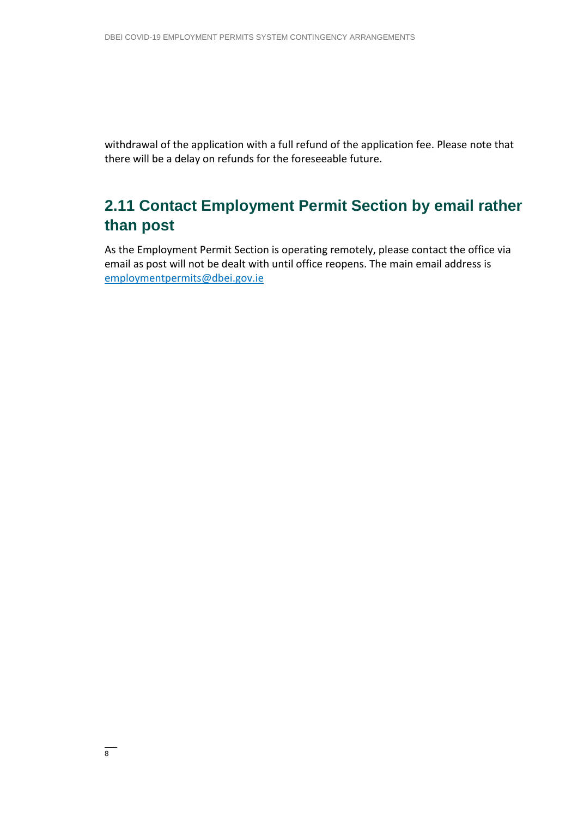withdrawal of the application with a full refund of the application fee. Please note that there will be a delay on refunds for the foreseeable future.

### <span id="page-7-0"></span>**2.11 Contact Employment Permit Section by email rather than post**

As the Employment Permit Section is operating remotely, please contact the office via email as post will not be dealt with until office reopens. The main email address is [employmentpermits@dbei.gov.ie](mailto:employmentpermits@dbei.gov.ie)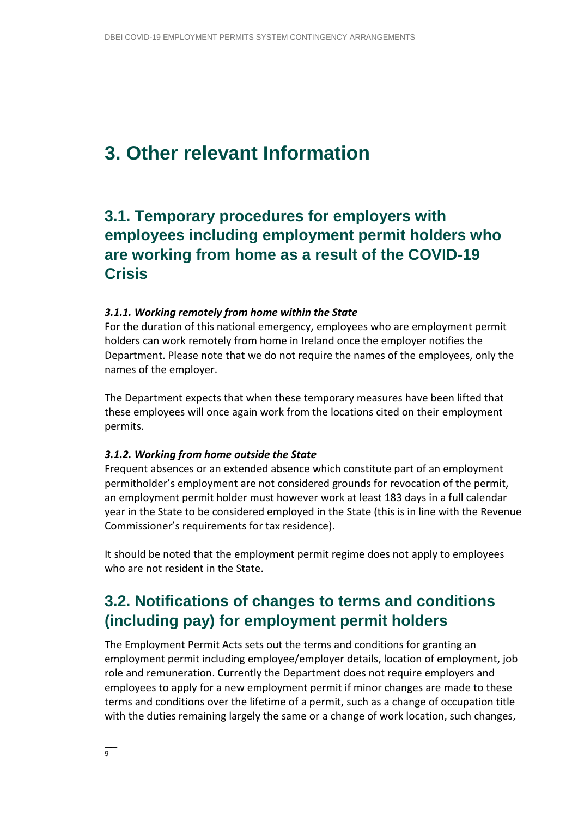## <span id="page-8-0"></span>**3. Other relevant Information**

#### <span id="page-8-1"></span>**3.1. Temporary procedures for employers with employees including employment permit holders who are working from home as a result of the COVID-19 Crisis**

#### *3.1.1. Working remotely from home within the State*

For the duration of this national emergency, employees who are employment permit holders can work remotely from home in Ireland once the employer notifies the Department. Please note that we do not require the names of the employees, only the names of the employer.

The Department expects that when these temporary measures have been lifted that these employees will once again work from the locations cited on their employment permits.

#### *3.1.2. Working from home outside the State*

Frequent absences or an extended absence which constitute part of an employment permitholder's employment are not considered grounds for revocation of the permit, an employment permit holder must however work at least 183 days in a full calendar year in the State to be considered employed in the State (this is in line with the Revenue Commissioner's requirements for tax residence).

It should be noted that the employment permit regime does not apply to employees who are not resident in the State.

#### <span id="page-8-2"></span>**3.2. Notifications of changes to terms and conditions (including pay) for employment permit holders**

The Employment Permit Acts sets out the terms and conditions for granting an employment permit including employee/employer details, location of employment, job role and remuneration. Currently the Department does not require employers and employees to apply for a new employment permit if minor changes are made to these terms and conditions over the lifetime of a permit, such as a change of occupation title with the duties remaining largely the same or a change of work location, such changes,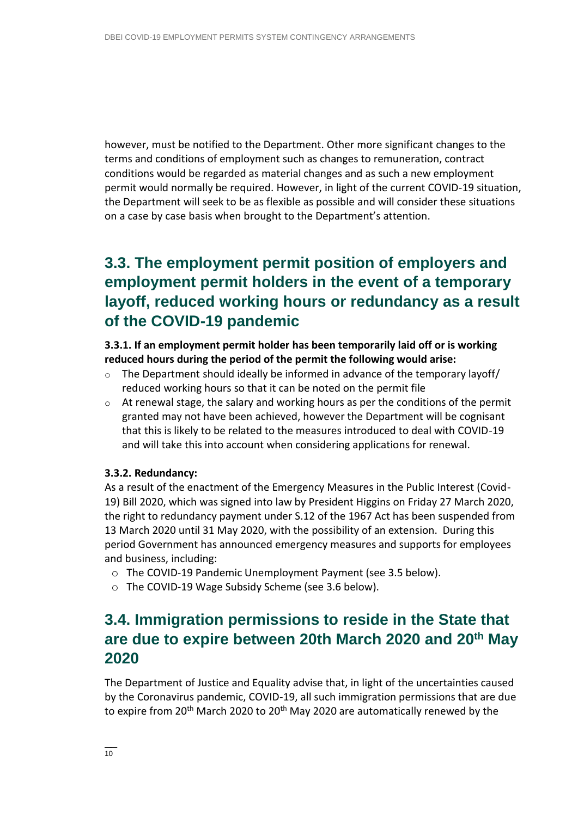however, must be notified to the Department. Other more significant changes to the terms and conditions of employment such as changes to remuneration, contract conditions would be regarded as material changes and as such a new employment permit would normally be required. However, in light of the current COVID-19 situation, the Department will seek to be as flexible as possible and will consider these situations on a case by case basis when brought to the Department's attention.

### <span id="page-9-0"></span>**3.3. The employment permit position of employers and employment permit holders in the event of a temporary layoff, reduced working hours or redundancy as a result of the COVID-19 pandemic**

#### **3.3.1. If an employment permit holder has been temporarily laid off or is working reduced hours during the period of the permit the following would arise:**

- $\circ$  The Department should ideally be informed in advance of the temporary layoff/ reduced working hours so that it can be noted on the permit file
- $\circ$  At renewal stage, the salary and working hours as per the conditions of the permit granted may not have been achieved, however the Department will be cognisant that this is likely to be related to the measures introduced to deal with COVID-19 and will take this into account when considering applications for renewal.

#### **3.3.2. Redundancy:**

As a result of the enactment of the Emergency Measures in the Public Interest (Covid-19) Bill 2020, which was signed into law by President Higgins on Friday 27 March 2020, the right to redundancy payment under S.12 of the 1967 Act has been suspended from 13 March 2020 until 31 May 2020, with the possibility of an extension. During this period Government has announced emergency measures and supports for employees and business, including:

- o The COVID-19 Pandemic Unemployment Payment (see 3.5 below).
- <span id="page-9-1"></span>o The COVID-19 Wage Subsidy Scheme (see 3.6 below).

#### **3.4. Immigration permissions to reside in the State that are due to expire between 20th March 2020 and 20th May 2020**

The Department of Justice and Equality advise that, in light of the uncertainties caused by the Coronavirus pandemic, COVID-19, all such immigration permissions that are due to expire from 20<sup>th</sup> March 2020 to 20<sup>th</sup> May 2020 are automatically renewed by the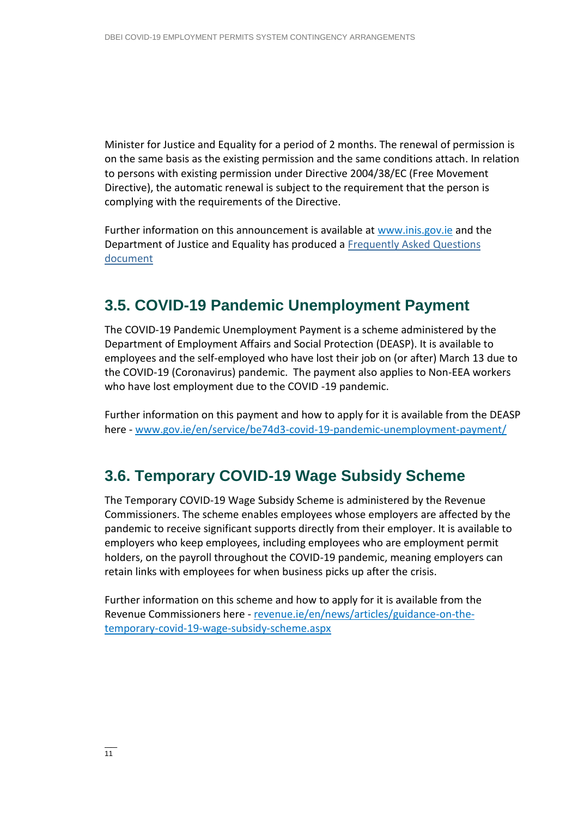Minister for Justice and Equality for a period of 2 months. The renewal of permission is on the same basis as the existing permission and the same conditions attach. In relation to persons with existing permission under Directive 2004/38/EC (Free Movement Directive), the automatic renewal is subject to the requirement that the person is complying with the requirements of the Directive.

Further information on this announcement is available at [www.inis.gov.ie](http://www.inis.gov.ie/) and the Department of Justice and Equality has produced a [Frequently](http://www.inis.gov.ie/en/INIS/frequently-asked-questions-immigration-permission-covid-19-temporary-measures.pdf/Files/frequently-asked-questions-immigration-permission-covid-19-temporary-measures.pdf) Asked Questions [document](http://www.inis.gov.ie/en/INIS/frequently-asked-questions-immigration-permission-covid-19-temporary-measures.pdf/Files/frequently-asked-questions-immigration-permission-covid-19-temporary-measures.pdf)

#### <span id="page-10-0"></span>**3.5. COVID-19 Pandemic Unemployment Payment**

The COVID-19 Pandemic Unemployment Payment is a scheme administered by the Department of Employment Affairs and Social Protection (DEASP). It is available to employees and the self-employed who have lost their job on (or after) March 13 due to the COVID-19 (Coronavirus) pandemic. The payment also applies to Non-EEA workers who have lost employment due to the COVID -19 pandemic.

Further information on this payment and how to apply for it is available from the DEASP here - [www.gov.ie/en/service/be74d3-covid-19-pandemic-unemployment-payment/](http://www.gov.ie/en/service/be74d3-covid-19-pandemic-unemployment-payment/)

#### <span id="page-10-1"></span>**3.6. Temporary COVID-19 Wage Subsidy Scheme**

The Temporary COVID-19 Wage Subsidy Scheme is administered by the Revenue Commissioners. The scheme enables employees whose employers are affected by the pandemic to receive significant supports directly from their employer. It is available to employers who keep employees, including employees who are employment permit holders, on the payroll throughout the COVID-19 pandemic, meaning employers can retain links with employees for when business picks up after the crisis.

Further information on this scheme and how to apply for it is available from the Revenue Commissioners here - [revenue.ie/en/news/articles/guidance-on-the](https://revenue.ie/en/news/articles/guidance-on-the-temporary-covid-19-wage-subsidy-scheme.aspx)[temporary-covid-19-wage-subsidy-scheme.aspx](https://revenue.ie/en/news/articles/guidance-on-the-temporary-covid-19-wage-subsidy-scheme.aspx)